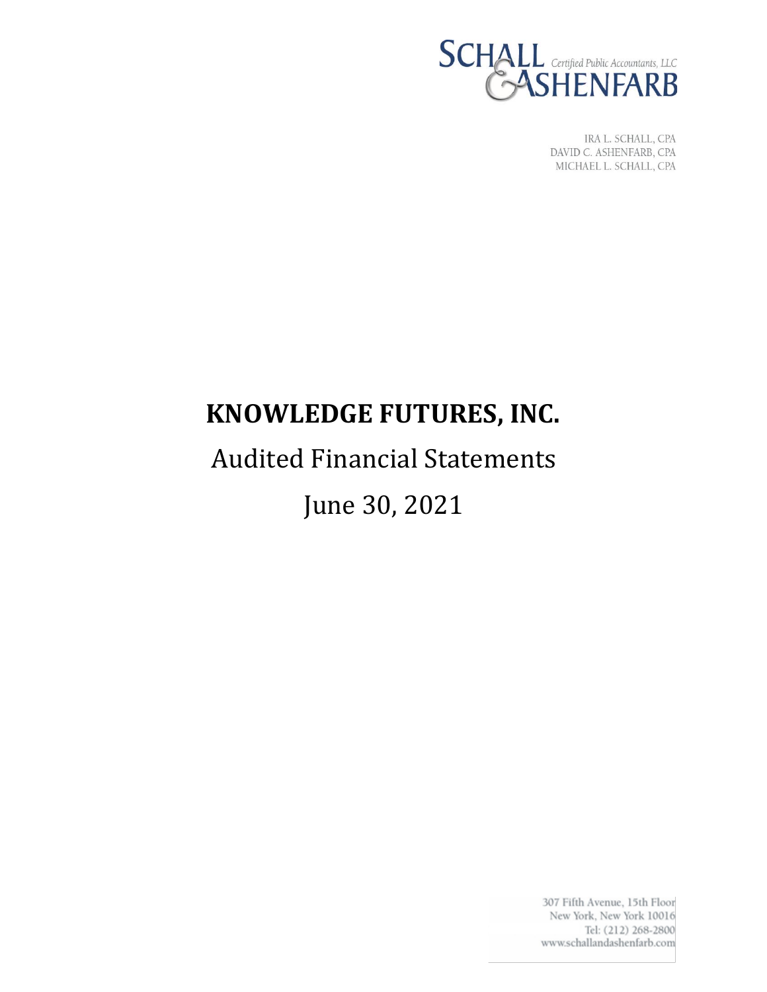

IRA L. SCHALL, CPA DAVID C. ASHENFARB, CPA MICHAEL L. SCHALL, CPA

# **KNOWLEDGE FUTURES, INC.**

Audited Financial Statements

June 30, 2021

307 Fifth Avenue, 15th Floor New York, New York 10016 Tel: (212) 268-2800 www.schallandashenfarb.com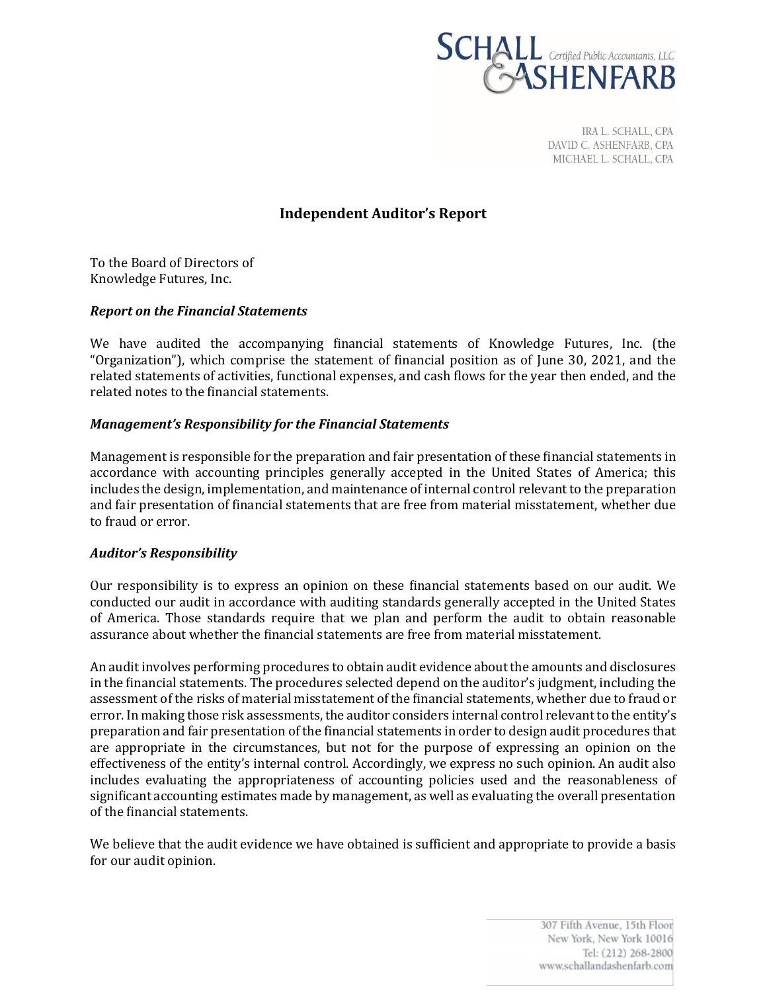

IRA L. SCHALL, CPA DAVID C. ASHENFARB, CPA MICHAEL L. SCHALL, CPA

## **Independent Auditor's Report**

To the Board of Directors of Knowledge Futures, Inc.

## *Report on the Financial Statements*

We have audited the accompanying financial statements of Knowledge Futures, Inc. (the "Organization"), which comprise the statement of financial position as of June 30, 2021, and the related statements of activities, functional expenses, and cash flows for the year then ended, and the related notes to the financial statements.

### *Management's Responsibility for the Financial Statements*

Management is responsible for the preparation and fair presentation of these financial statements in accordance with accounting principles generally accepted in the United States of America; this includes the design, implementation, and maintenance of internal control relevant to the preparation and fair presentation of financial statements that are free from material misstatement, whether due to fraud or error.

## *Auditor's Responsibility*

Our responsibility is to express an opinion on these financial statements based on our audit. We conducted our audit in accordance with auditing standards generally accepted in the United States of America. Those standards require that we plan and perform the audit to obtain reasonable assurance about whether the financial statements are free from material misstatement.

An audit involves performing procedures to obtain audit evidence about the amounts and disclosures in the financial statements. The procedures selected depend on the auditor's judgment, including the assessment of the risks of material misstatement of the financial statements, whether due to fraud or error. In making those risk assessments, the auditor considers internal control relevant to the entity's preparation and fair presentation of the financial statements in order to design audit procedures that are appropriate in the circumstances, but not for the purpose of expressing an opinion on the effectiveness of the entity's internal control. Accordingly, we express no such opinion. An audit also includes evaluating the appropriateness of accounting policies used and the reasonableness of significant accounting estimates made by management, as well as evaluating the overall presentation of the financial statements.

We believe that the audit evidence we have obtained is sufficient and appropriate to provide a basis for our audit opinion.

> 307 Fifth Avenue, 15th Floor New York, New York 10016 Tel: (212) 268-2800 www.schallandashenfarb.com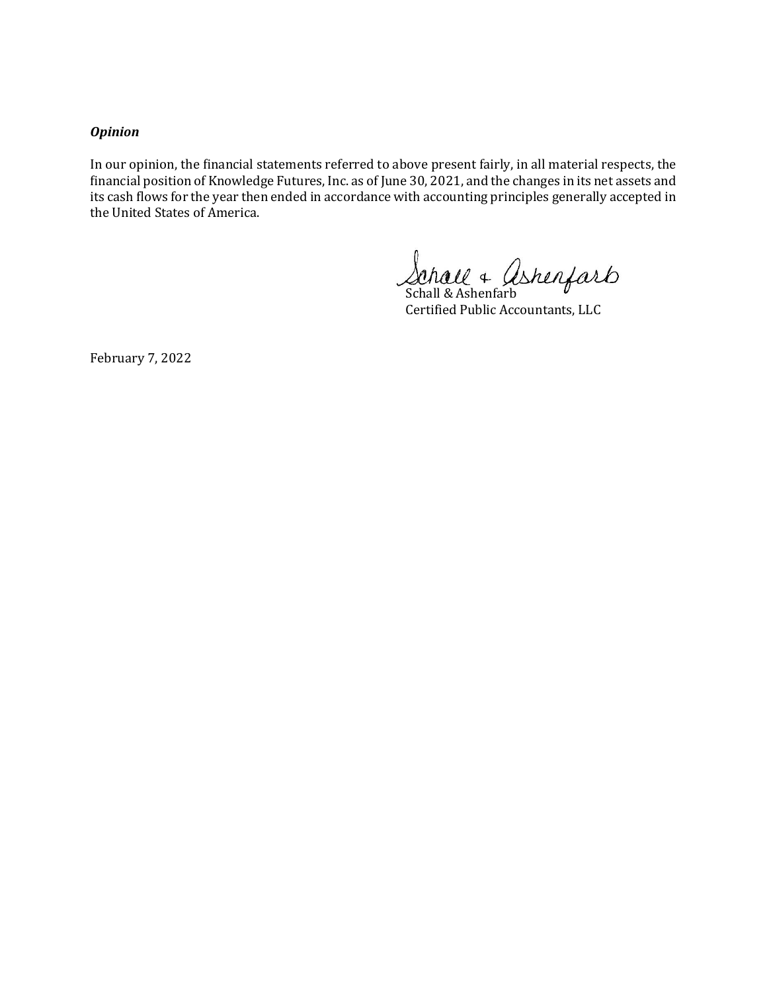## *Opinion*

In our opinion, the financial statements referred to above present fairly, in all material respects, the financial position of Knowledge Futures, Inc. as of June 30, 2021, and the changes in its net assets and its cash flows for the year then ended in accordance with accounting principles generally accepted in the United States of America.

Schall & Ashenfarb

Certified Public Accountants, LLC

February 7, 2022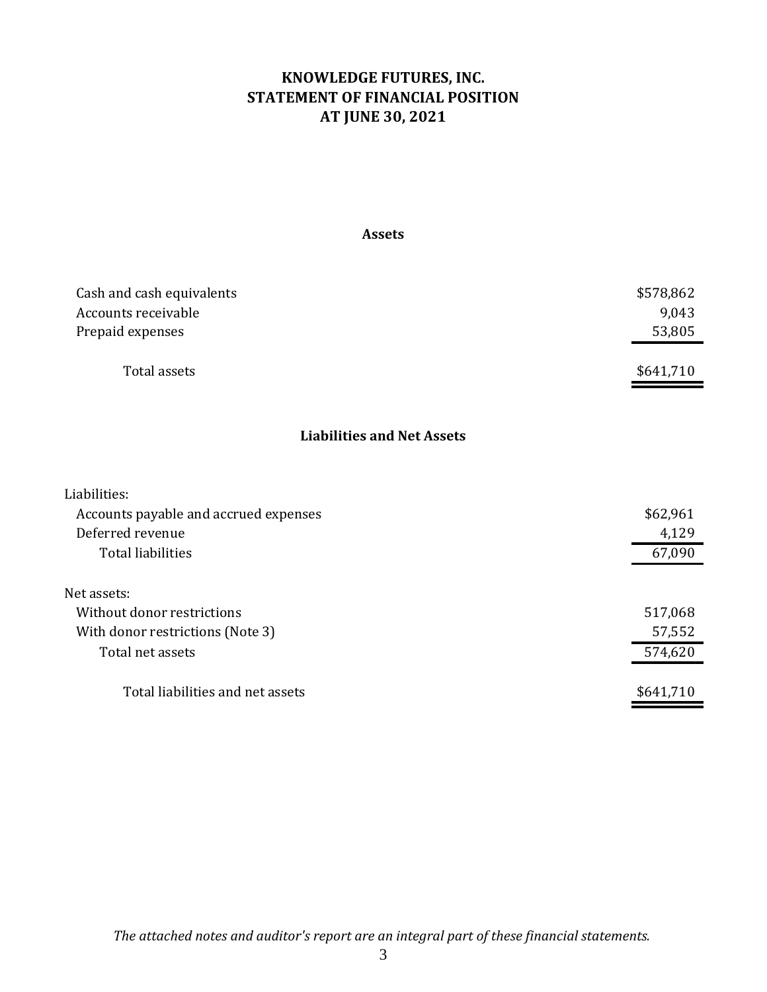# **KNOWLEDGE FUTURES, INC. STATEMENT OF FINANCIAL POSITION AT JUNE 30, 2021**

#### **Assets**

| Cash and cash equivalents | \$578,862 |
|---------------------------|-----------|
| Accounts receivable       | 9,043     |
| Prepaid expenses          | 53,805    |
| Total assets              | \$641,710 |
|                           |           |

## **Liabilities and Net Assets**

| Liabilities:                          |           |
|---------------------------------------|-----------|
| Accounts payable and accrued expenses | \$62,961  |
| Deferred revenue                      | 4,129     |
| Total liabilities                     | 67,090    |
|                                       |           |
| Net assets:                           |           |
| Without donor restrictions            | 517,068   |
| With donor restrictions (Note 3)      | 57,552    |
| Total net assets                      | 574,620   |
|                                       |           |
| Total liabilities and net assets      | \$641,710 |

*The attached notes and auditor's report are an integral part of these financial statements.*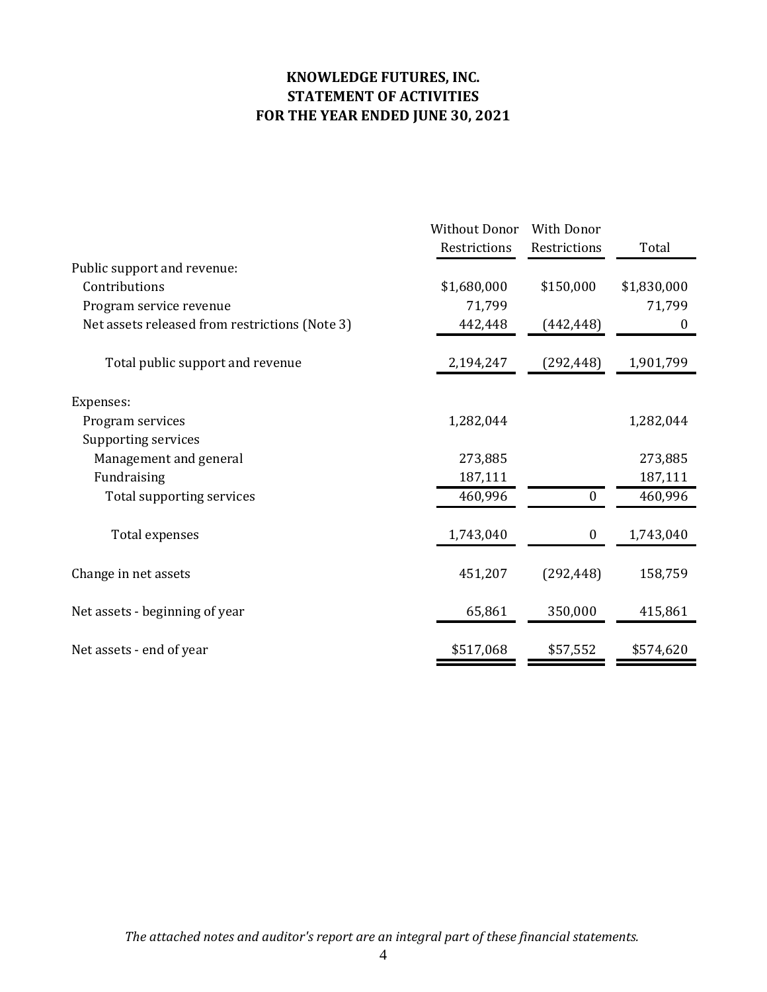# **FOR THE YEAR ENDED JUNE 30, 2021 STATEMENT OF ACTIVITIES KNOWLEDGE FUTURES, INC.**

|                                                | <b>Without Donor</b> | <b>With Donor</b> |             |
|------------------------------------------------|----------------------|-------------------|-------------|
|                                                | Restrictions         | Restrictions      | Total       |
| Public support and revenue:                    |                      |                   |             |
| Contributions                                  | \$1,680,000          | \$150,000         | \$1,830,000 |
| Program service revenue                        | 71,799               |                   | 71,799      |
| Net assets released from restrictions (Note 3) | 442,448              | (442, 448)        | $\bf{0}$    |
| Total public support and revenue               | 2,194,247            | (292, 448)        | 1,901,799   |
| Expenses:                                      |                      |                   |             |
| Program services                               | 1,282,044            |                   | 1,282,044   |
| Supporting services                            |                      |                   |             |
| Management and general                         | 273,885              |                   | 273,885     |
| Fundraising                                    | 187,111              |                   | 187,111     |
| Total supporting services                      | 460,996              | $\boldsymbol{0}$  | 460,996     |
| Total expenses                                 | 1,743,040            | $\boldsymbol{0}$  | 1,743,040   |
| Change in net assets                           | 451,207              | (292, 448)        | 158,759     |
| Net assets - beginning of year                 | 65,861               | 350,000           | 415,861     |
| Net assets - end of year                       | \$517,068            | \$57,552          | \$574,620   |

*The attached notes and auditor's report are an integral part of these financial statements.*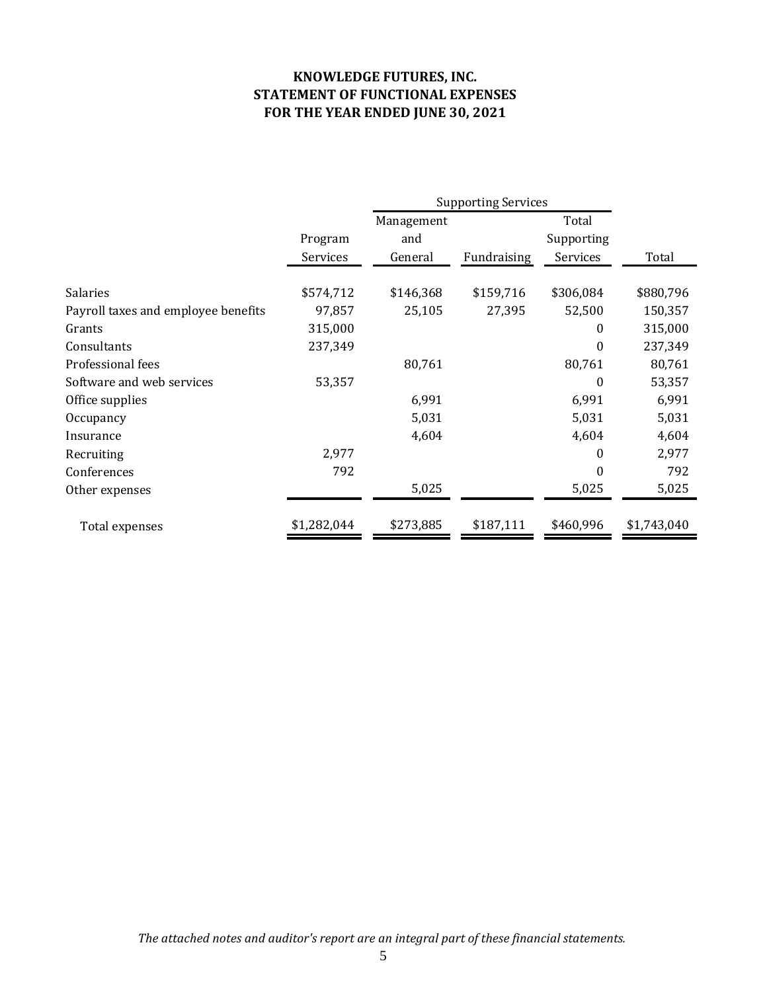# **KNOWLEDGE FUTURES, INC. STATEMENT OF FUNCTIONAL EXPENSES FOR THE YEAR ENDED JUNE 30, 2021**

|                                     | <b>Supporting Services</b> |            |             |            |             |
|-------------------------------------|----------------------------|------------|-------------|------------|-------------|
|                                     |                            | Management |             | Total      |             |
|                                     | Program                    | and        |             | Supporting |             |
|                                     | Services                   | General    | Fundraising | Services   | Total       |
|                                     |                            |            |             |            |             |
| Salaries                            | \$574,712                  | \$146,368  | \$159,716   | \$306,084  | \$880,796   |
| Payroll taxes and employee benefits | 97,857                     | 25,105     | 27,395      | 52,500     | 150,357     |
| Grants                              | 315,000                    |            |             | 0          | 315,000     |
| Consultants                         | 237,349                    |            |             | $\theta$   | 237,349     |
| Professional fees                   |                            | 80,761     |             | 80,761     | 80,761      |
| Software and web services           | 53,357                     |            |             | 0          | 53,357      |
| Office supplies                     |                            | 6,991      |             | 6,991      | 6,991       |
| Occupancy                           |                            | 5,031      |             | 5,031      | 5,031       |
| Insurance                           |                            | 4,604      |             | 4,604      | 4,604       |
| Recruiting                          | 2,977                      |            |             | 0          | 2,977       |
| Conferences                         | 792                        |            |             | 0          | 792         |
| Other expenses                      |                            | 5,025      |             | 5,025      | 5,025       |
| Total expenses                      | \$1,282,044                | \$273,885  | \$187,111   | \$460,996  | \$1,743,040 |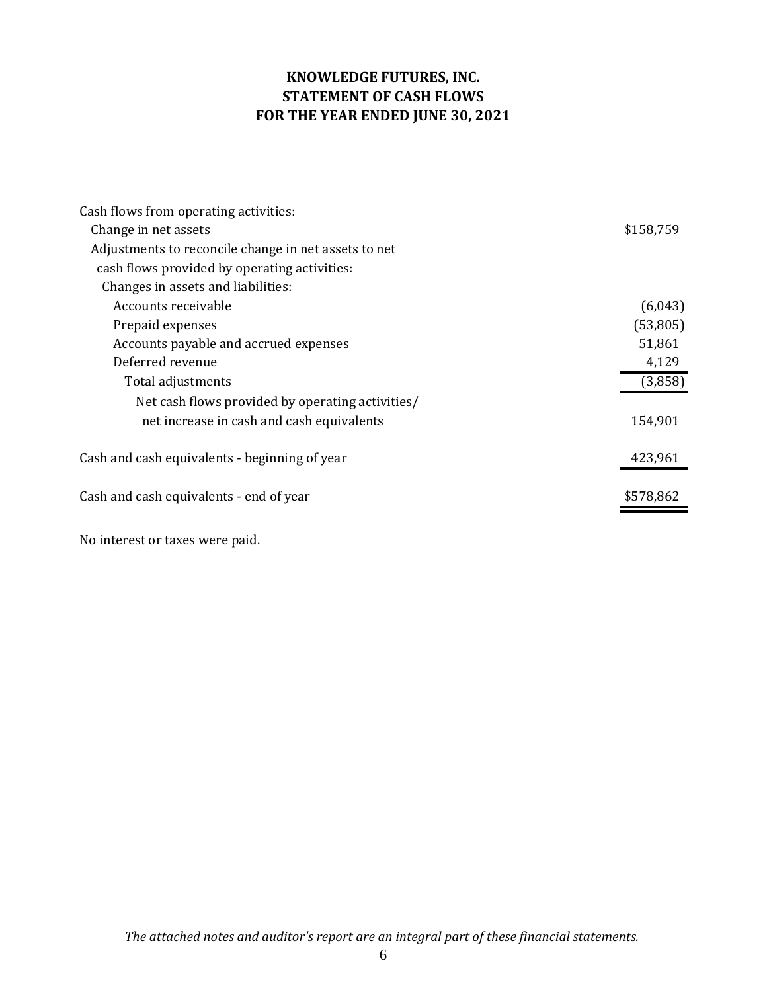# **KNOWLEDGE FUTURES, INC. STATEMENT OF CASH FLOWS FOR THE YEAR ENDED JUNE 30, 2021**

| Cash flows from operating activities:                |           |
|------------------------------------------------------|-----------|
| Change in net assets                                 | \$158,759 |
| Adjustments to reconcile change in net assets to net |           |
| cash flows provided by operating activities:         |           |
| Changes in assets and liabilities:                   |           |
| Accounts receivable                                  | (6,043)   |
| Prepaid expenses                                     | (53,805)  |
| Accounts payable and accrued expenses                | 51,861    |
| Deferred revenue                                     | 4,129     |
| Total adjustments                                    | (3,858)   |
| Net cash flows provided by operating activities/     |           |
| net increase in cash and cash equivalents            | 154,901   |
| Cash and cash equivalents - beginning of year        | 423,961   |
| Cash and cash equivalents - end of year              | \$578,862 |
|                                                      |           |

No interest or taxes were paid.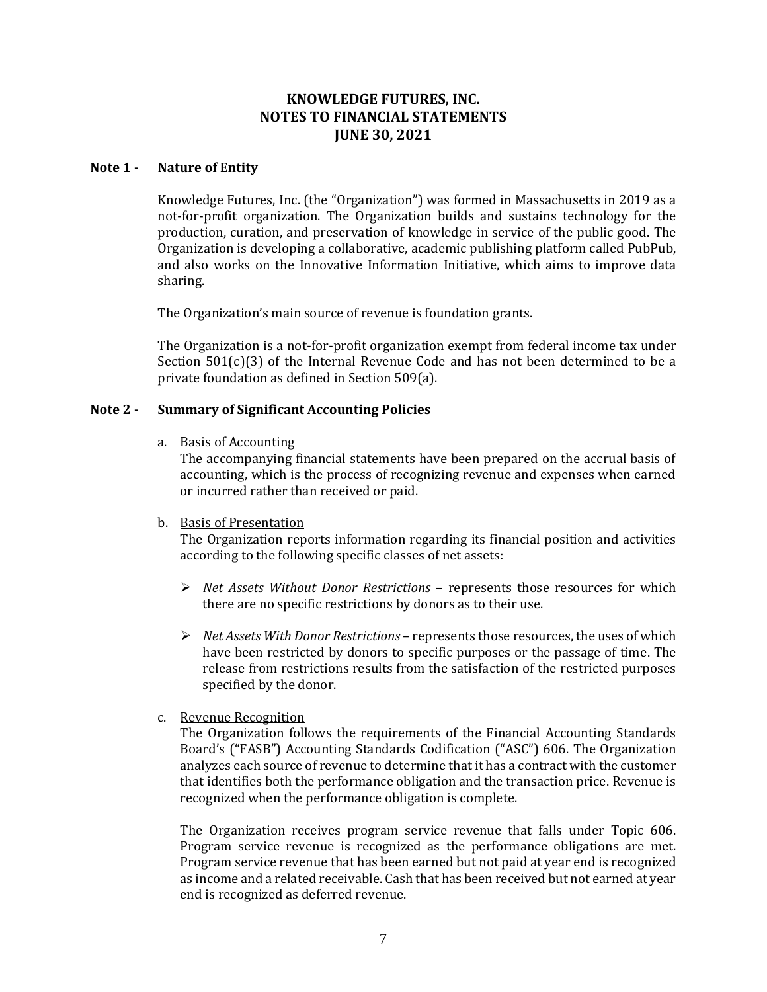## **KNOWLEDGE FUTURES, INC. NOTES TO FINANCIAL STATEMENTS JUNE 30, 2021**

## **Note 1 - Nature of Entity**

Knowledge Futures, Inc. (the "Organization") was formed in Massachusetts in 2019 as a not-for-profit organization. The Organization builds and sustains technology for the production, curation, and preservation of knowledge in service of the public good. The Organization is developing a collaborative, academic publishing platform called PubPub, and also works on the Innovative Information Initiative, which aims to improve data sharing.

The Organization's main source of revenue is foundation grants.

The Organization is a not-for-profit organization exempt from federal income tax under Section  $501(c)(3)$  of the Internal Revenue Code and has not been determined to be a private foundation as defined in Section 509(a).

### **Note 2 - Summary of Significant Accounting Policies**

a. Basis of Accounting

The accompanying financial statements have been prepared on the accrual basis of accounting, which is the process of recognizing revenue and expenses when earned or incurred rather than received or paid.

b. Basis of Presentation

The Organization reports information regarding its financial position and activities according to the following specific classes of net assets:

- ➢ *Net Assets Without Donor Restrictions* represents those resources for which there are no specific restrictions by donors as to their use.
- ➢ *Net Assets With Donor Restrictions* represents those resources, the uses of which have been restricted by donors to specific purposes or the passage of time. The release from restrictions results from the satisfaction of the restricted purposes specified by the donor.
- c. Revenue Recognition

The Organization follows the requirements of the Financial Accounting Standards Board's ("FASB") Accounting Standards Codification ("ASC") 606. The Organization analyzes each source of revenue to determine that it has a contract with the customer that identifies both the performance obligation and the transaction price. Revenue is recognized when the performance obligation is complete.

The Organization receives program service revenue that falls under Topic 606. Program service revenue is recognized as the performance obligations are met. Program service revenue that has been earned but not paid at year end is recognized as income and a related receivable. Cash that has been received but not earned at year end is recognized as deferred revenue.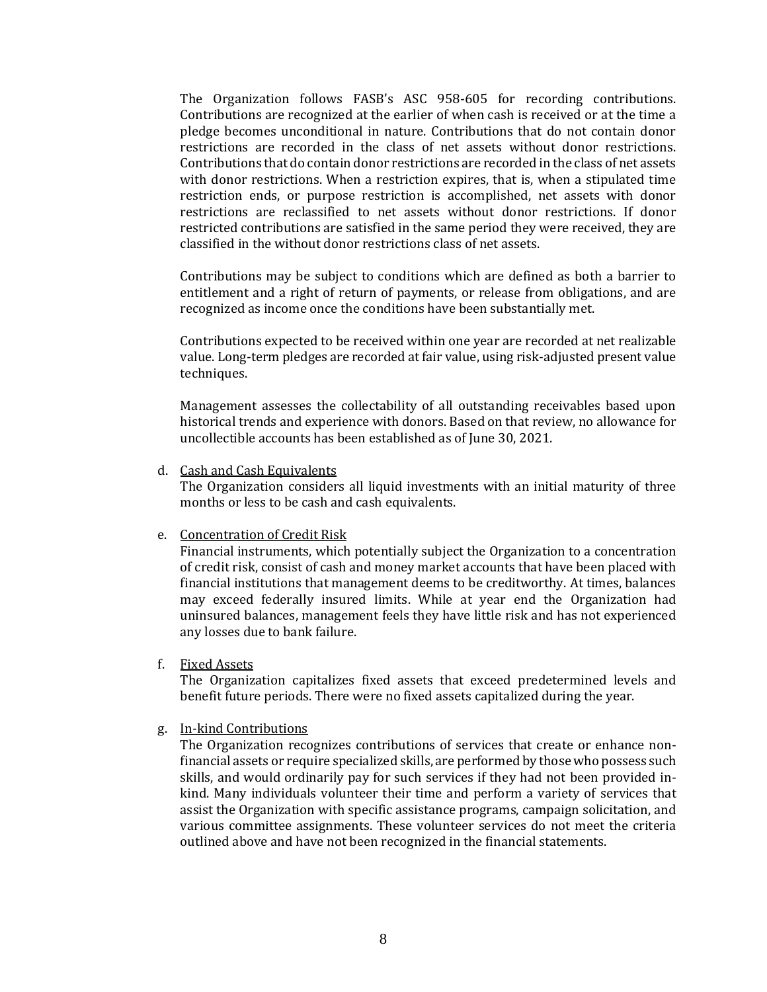The Organization follows FASB's ASC 958-605 for recording contributions. Contributions are recognized at the earlier of when cash is received or at the time a pledge becomes unconditional in nature. Contributions that do not contain donor restrictions are recorded in the class of net assets without donor restrictions. Contributions that do contain donor restrictions are recorded in the class of net assets with donor restrictions. When a restriction expires, that is, when a stipulated time restriction ends, or purpose restriction is accomplished, net assets with donor restrictions are reclassified to net assets without donor restrictions. If donor restricted contributions are satisfied in the same period they were received, they are classified in the without donor restrictions class of net assets.

Contributions may be subject to conditions which are defined as both a barrier to entitlement and a right of return of payments, or release from obligations, and are recognized as income once the conditions have been substantially met.

Contributions expected to be received within one year are recorded at net realizable value. Long-term pledges are recorded at fair value, using risk-adjusted present value techniques.

Management assesses the collectability of all outstanding receivables based upon historical trends and experience with donors. Based on that review, no allowance for uncollectible accounts has been established as of June 30, 2021.

d. Cash and Cash Equivalents

The Organization considers all liquid investments with an initial maturity of three months or less to be cash and cash equivalents.

e. Concentration of Credit Risk

Financial instruments, which potentially subject the Organization to a concentration of credit risk, consist of cash and money market accounts that have been placed with financial institutions that management deems to be creditworthy. At times, balances may exceed federally insured limits. While at year end the Organization had uninsured balances, management feels they have little risk and has not experienced any losses due to bank failure.

f. Fixed Assets

The Organization capitalizes fixed assets that exceed predetermined levels and benefit future periods. There were no fixed assets capitalized during the year.

g. In-kind Contributions

The Organization recognizes contributions of services that create or enhance nonfinancial assets or require specialized skills, are performed by those who possess such skills, and would ordinarily pay for such services if they had not been provided inkind. Many individuals volunteer their time and perform a variety of services that assist the Organization with specific assistance programs, campaign solicitation, and various committee assignments. These volunteer services do not meet the criteria outlined above and have not been recognized in the financial statements.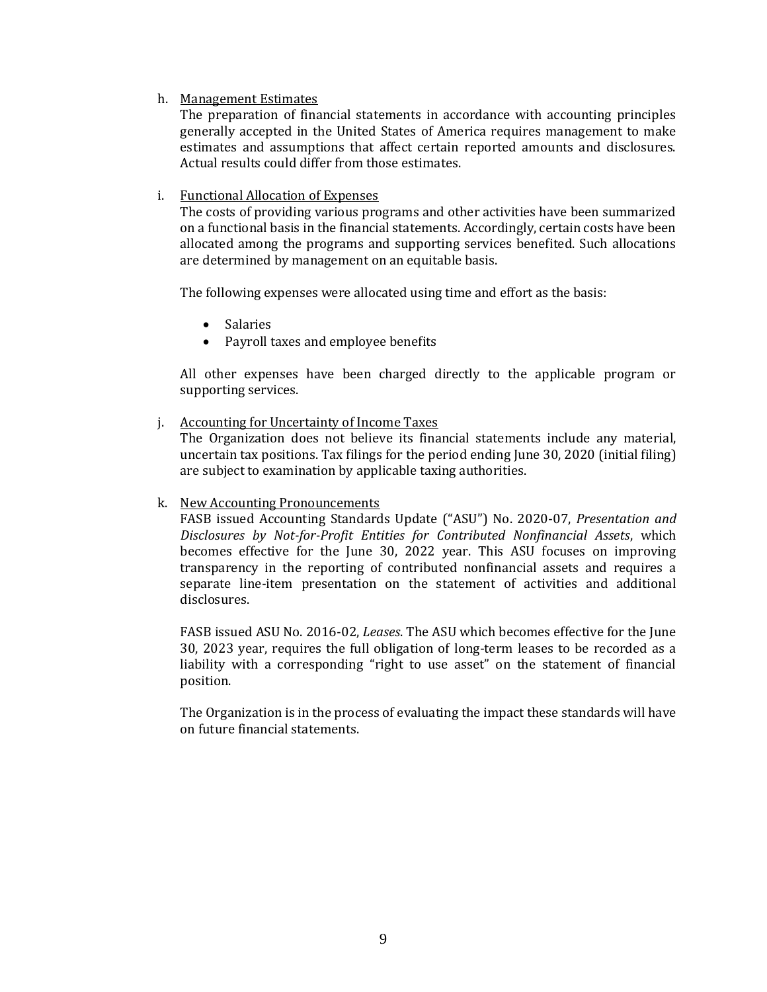h. Management Estimates

The preparation of financial statements in accordance with accounting principles generally accepted in the United States of America requires management to make estimates and assumptions that affect certain reported amounts and disclosures. Actual results could differ from those estimates.

## i. Functional Allocation of Expenses

The costs of providing various programs and other activities have been summarized on a functional basis in the financial statements. Accordingly, certain costs have been allocated among the programs and supporting services benefited. Such allocations are determined by management on an equitable basis.

The following expenses were allocated using time and effort as the basis:

- Salaries
- Payroll taxes and employee benefits

All other expenses have been charged directly to the applicable program or supporting services.

## j. Accounting for Uncertainty of Income Taxes

The Organization does not believe its financial statements include any material, uncertain tax positions. Tax filings for the period ending June 30, 2020 (initial filing) are subject to examination by applicable taxing authorities.

## k. New Accounting Pronouncements

FASB issued Accounting Standards Update ("ASU") No. 2020-07, *Presentation and Disclosures by Not-for-Profit Entities for Contributed Nonfinancial Assets*, which becomes effective for the June 30, 2022 year. This ASU focuses on improving transparency in the reporting of contributed nonfinancial assets and requires a separate line-item presentation on the statement of activities and additional disclosures.

FASB issued ASU No. 2016-02, *Leases*. The ASU which becomes effective for the June 30, 2023 year, requires the full obligation of long-term leases to be recorded as a liability with a corresponding "right to use asset" on the statement of financial position.

The Organization is in the process of evaluating the impact these standards will have on future financial statements.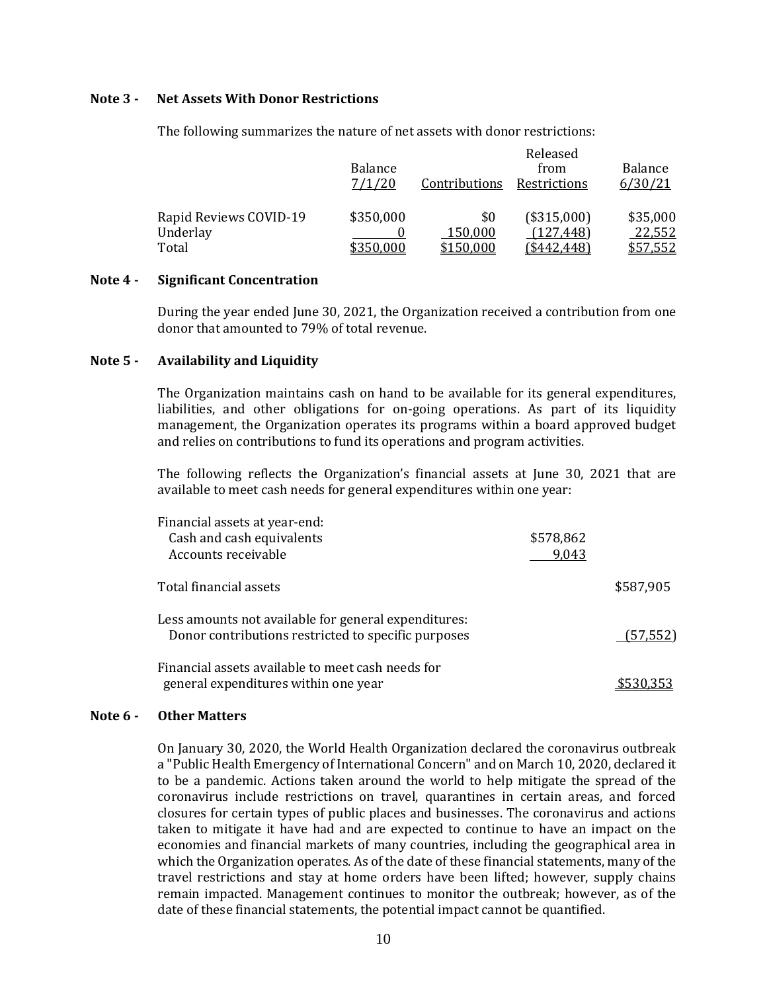## **Note 3 - Net Assets With Donor Restrictions**

|                        | <b>Balance</b> |               | Released<br>from    | <b>Balance</b> |
|------------------------|----------------|---------------|---------------------|----------------|
| Rapid Reviews COVID-19 | 7/1/20         | Contributions | <b>Restrictions</b> | 6/30/21        |
|                        | \$350,000      | \$0           | (\$315,000)         | \$35,000       |
| Underlay               | \$350,000      | 150,000       | (127, 448)          | 22,552         |
| Total                  |                | \$150,000     | (\$442,448)         | \$57,552       |

The following summarizes the nature of net assets with donor restrictions:

## **Note 4 - Significant Concentration**

During the year ended June 30, 2021, the Organization received a contribution from one donor that amounted to 79% of total revenue.

### **Note 5 - Availability and Liquidity**

The Organization maintains cash on hand to be available for its general expenditures, liabilities, and other obligations for on-going operations. As part of its liquidity management, the Organization operates its programs within a board approved budget and relies on contributions to fund its operations and program activities.

The following reflects the Organization's financial assets at June 30, 2021 that are available to meet cash needs for general expenditures within one year:

| Financial assets at year-end:<br>Cash and cash equivalents<br>Accounts receivable                           | \$578,862<br>9,043 |           |
|-------------------------------------------------------------------------------------------------------------|--------------------|-----------|
| Total financial assets                                                                                      |                    | \$587,905 |
| Less amounts not available for general expenditures:<br>Donor contributions restricted to specific purposes |                    | (57, 552) |
| Financial assets available to meet cash needs for<br>general expenditures within one year                   |                    |           |

#### **Note 6 - Other Matters**

On January 30, 2020, the World Health Organization declared the coronavirus outbreak a "Public Health Emergency of International Concern" and on March 10, 2020, declared it to be a pandemic. Actions taken around the world to help mitigate the spread of the coronavirus include restrictions on travel, quarantines in certain areas, and forced closures for certain types of public places and businesses. The coronavirus and actions taken to mitigate it have had and are expected to continue to have an impact on the economies and financial markets of many countries, including the geographical area in which the Organization operates. As of the date of these financial statements, many of the travel restrictions and stay at home orders have been lifted; however, supply chains remain impacted. Management continues to monitor the outbreak; however, as of the date of these financial statements, the potential impact cannot be quantified.